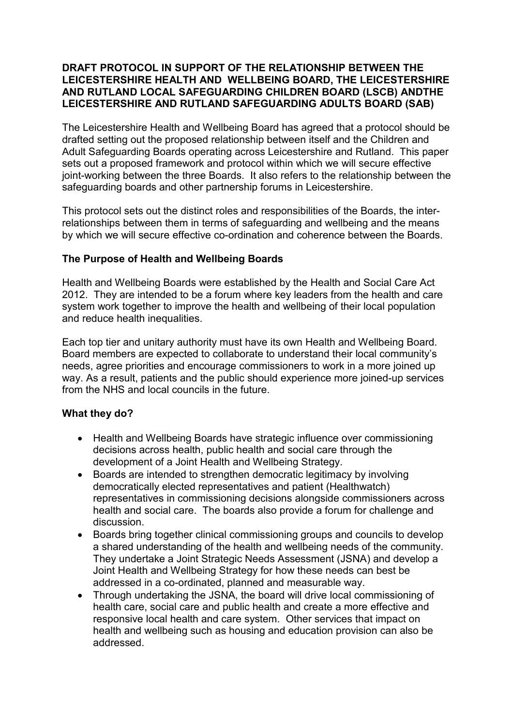## **DRAFT PROTOCOL IN SUPPORT OF THE RELATIONSHIP BETWEEN THE LEICESTERSHIRE HEALTH AND WELLBEING BOARD, THE LEICESTERSHIRE AND RUTLAND LOCAL SAFEGUARDING CHILDREN BOARD (LSCB) ANDTHE LEICESTERSHIRE AND RUTLAND SAFEGUARDING ADULTS BOARD (SAB)**

The Leicestershire Health and Wellbeing Board has agreed that a protocol should be drafted setting out the proposed relationship between itself and the Children and Adult Safeguarding Boards operating across Leicestershire and Rutland. This paper sets out a proposed framework and protocol within which we will secure effective joint-working between the three Boards. It also refers to the relationship between the safeguarding boards and other partnership forums in Leicestershire.

This protocol sets out the distinct roles and responsibilities of the Boards, the interrelationships between them in terms of safeguarding and wellbeing and the means by which we will secure effective co-ordination and coherence between the Boards.

## **The Purpose of Health and Wellbeing Boards**

Health and Wellbeing Boards were established by the Health and Social Care Act 2012. They are intended to be a forum where key leaders from the health and care system work together to improve the health and wellbeing of their local population and reduce health inequalities.

Each top tier and unitary authority must have its own Health and Wellbeing Board. Board members are expected to collaborate to understand their local community's needs, agree priorities and encourage commissioners to work in a more joined up way. As a result, patients and the public should experience more joined-up services from the NHS and local councils in the future.

### **What they do?**

- Health and Wellbeing Boards have strategic influence over commissioning decisions across health, public health and social care through the development of a Joint Health and Wellbeing Strategy.
- Boards are intended to strengthen democratic legitimacy by involving democratically elected representatives and patient (Healthwatch) representatives in commissioning decisions alongside commissioners across health and social care. The boards also provide a forum for challenge and discussion.
- Boards bring together clinical commissioning groups and councils to develop a shared understanding of the health and wellbeing needs of the community. They undertake a Joint Strategic Needs Assessment (JSNA) and develop a Joint Health and Wellbeing Strategy for how these needs can best be addressed in a co-ordinated, planned and measurable way.
- Through undertaking the JSNA, the board will drive local commissioning of health care, social care and public health and create a more effective and responsive local health and care system. Other services that impact on health and wellbeing such as housing and education provision can also be addressed.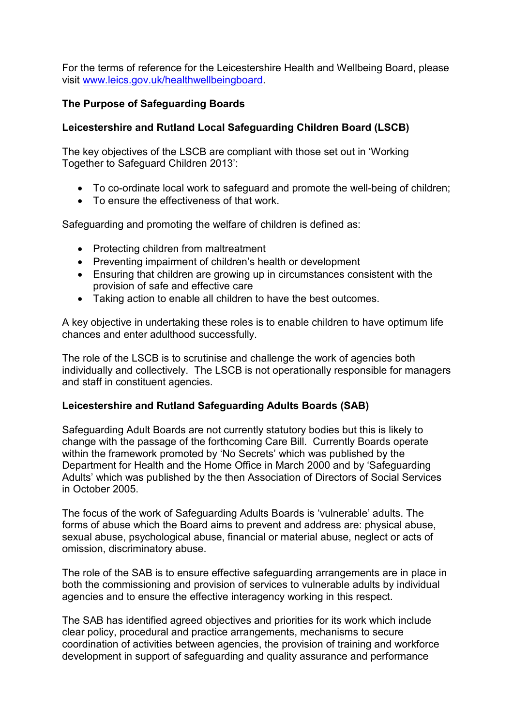For the terms of reference for the Leicestershire Health and Wellbeing Board, please visit www.leics.gov.uk/healthwellbeingboard.

# **The Purpose of Safeguarding Boards**

# **Leicestershire and Rutland Local Safeguarding Children Board (LSCB)**

The key objectives of the LSCB are compliant with those set out in 'Working Together to Safeguard Children 2013':

- To co-ordinate local work to safeguard and promote the well-being of children;
- To ensure the effectiveness of that work.

Safeguarding and promoting the welfare of children is defined as:

- Protecting children from maltreatment
- Preventing impairment of children's health or development
- Ensuring that children are growing up in circumstances consistent with the provision of safe and effective care
- Taking action to enable all children to have the best outcomes.

A key objective in undertaking these roles is to enable children to have optimum life chances and enter adulthood successfully.

The role of the LSCB is to scrutinise and challenge the work of agencies both individually and collectively. The LSCB is not operationally responsible for managers and staff in constituent agencies.

### **Leicestershire and Rutland Safeguarding Adults Boards (SAB)**

Safeguarding Adult Boards are not currently statutory bodies but this is likely to change with the passage of the forthcoming Care Bill. Currently Boards operate within the framework promoted by 'No Secrets' which was published by the Department for Health and the Home Office in March 2000 and by 'Safeguarding Adults' which was published by the then Association of Directors of Social Services in October 2005.

The focus of the work of Safeguarding Adults Boards is 'vulnerable' adults. The forms of abuse which the Board aims to prevent and address are: physical abuse, sexual abuse, psychological abuse, financial or material abuse, neglect or acts of omission, discriminatory abuse.

The role of the SAB is to ensure effective safeguarding arrangements are in place in both the commissioning and provision of services to vulnerable adults by individual agencies and to ensure the effective interagency working in this respect.

The SAB has identified agreed objectives and priorities for its work which include clear policy, procedural and practice arrangements, mechanisms to secure coordination of activities between agencies, the provision of training and workforce development in support of safeguarding and quality assurance and performance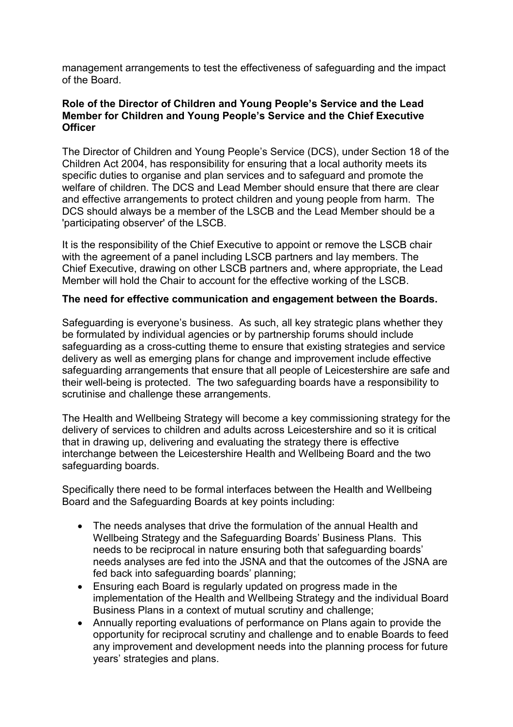management arrangements to test the effectiveness of safeguarding and the impact of the Board.

### **Role of the Director of Children and Young People's Service and the Lead Member for Children and Young People's Service and the Chief Executive Officer**

The Director of Children and Young People's Service (DCS), under Section 18 of the Children Act 2004, has responsibility for ensuring that a local authority meets its specific duties to organise and plan services and to safeguard and promote the welfare of children. The DCS and Lead Member should ensure that there are clear and effective arrangements to protect children and young people from harm. The DCS should always be a member of the LSCB and the Lead Member should be a 'participating observer' of the LSCB.

It is the responsibility of the Chief Executive to appoint or remove the LSCB chair with the agreement of a panel including LSCB partners and lay members. The Chief Executive, drawing on other LSCB partners and, where appropriate, the Lead Member will hold the Chair to account for the effective working of the LSCB.

### **The need for effective communication and engagement between the Boards.**

Safeguarding is everyone's business. As such, all key strategic plans whether they be formulated by individual agencies or by partnership forums should include safeguarding as a cross-cutting theme to ensure that existing strategies and service delivery as well as emerging plans for change and improvement include effective safeguarding arrangements that ensure that all people of Leicestershire are safe and their well-being is protected. The two safeguarding boards have a responsibility to scrutinise and challenge these arrangements.

The Health and Wellbeing Strategy will become a key commissioning strategy for the delivery of services to children and adults across Leicestershire and so it is critical that in drawing up, delivering and evaluating the strategy there is effective interchange between the Leicestershire Health and Wellbeing Board and the two safeguarding boards.

Specifically there need to be formal interfaces between the Health and Wellbeing Board and the Safeguarding Boards at key points including:

- The needs analyses that drive the formulation of the annual Health and Wellbeing Strategy and the Safeguarding Boards' Business Plans. This needs to be reciprocal in nature ensuring both that safeguarding boards' needs analyses are fed into the JSNA and that the outcomes of the JSNA are fed back into safeguarding boards' planning;
- Ensuring each Board is regularly updated on progress made in the implementation of the Health and Wellbeing Strategy and the individual Board Business Plans in a context of mutual scrutiny and challenge;
- Annually reporting evaluations of performance on Plans again to provide the opportunity for reciprocal scrutiny and challenge and to enable Boards to feed any improvement and development needs into the planning process for future years' strategies and plans.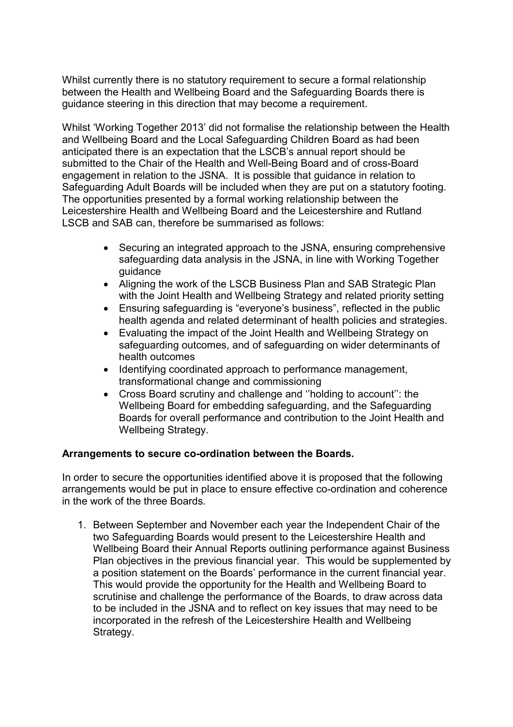Whilst currently there is no statutory requirement to secure a formal relationship between the Health and Wellbeing Board and the Safeguarding Boards there is guidance steering in this direction that may become a requirement.

Whilst 'Working Together 2013' did not formalise the relationship between the Health and Wellbeing Board and the Local Safeguarding Children Board as had been anticipated there is an expectation that the LSCB's annual report should be submitted to the Chair of the Health and Well-Being Board and of cross-Board engagement in relation to the JSNA. It is possible that guidance in relation to Safeguarding Adult Boards will be included when they are put on a statutory footing. The opportunities presented by a formal working relationship between the Leicestershire Health and Wellbeing Board and the Leicestershire and Rutland LSCB and SAB can, therefore be summarised as follows:

- Securing an integrated approach to the JSNA, ensuring comprehensive safeguarding data analysis in the JSNA, in line with Working Together guidance
- Aligning the work of the LSCB Business Plan and SAB Strategic Plan with the Joint Health and Wellbeing Strategy and related priority setting
- Ensuring safeguarding is "everyone's business", reflected in the public health agenda and related determinant of health policies and strategies.
- Evaluating the impact of the Joint Health and Wellbeing Strategy on safeguarding outcomes, and of safeguarding on wider determinants of health outcomes
- Identifying coordinated approach to performance management, transformational change and commissioning
- Cross Board scrutiny and challenge and ''holding to account'': the Wellbeing Board for embedding safeguarding, and the Safeguarding Boards for overall performance and contribution to the Joint Health and Wellbeing Strategy.

### **Arrangements to secure co-ordination between the Boards.**

In order to secure the opportunities identified above it is proposed that the following arrangements would be put in place to ensure effective co-ordination and coherence in the work of the three Boards.

1. Between September and November each year the Independent Chair of the two Safeguarding Boards would present to the Leicestershire Health and Wellbeing Board their Annual Reports outlining performance against Business Plan objectives in the previous financial year. This would be supplemented by a position statement on the Boards' performance in the current financial year. This would provide the opportunity for the Health and Wellbeing Board to scrutinise and challenge the performance of the Boards, to draw across data to be included in the JSNA and to reflect on key issues that may need to be incorporated in the refresh of the Leicestershire Health and Wellbeing Strategy.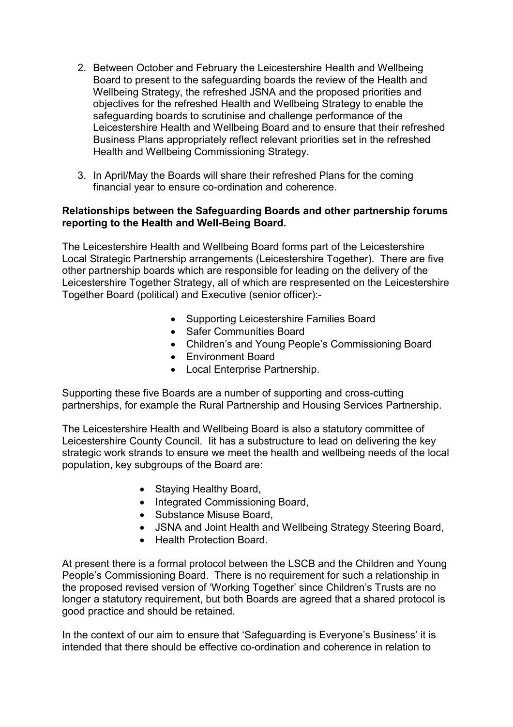- 2. Between October and February the Leicestershire Health and Wellbeing Board to present to the safeguarding boards the review of the Health and Wellbeing Strategy, the refreshed JSNA and the proposed priorities and objectives for the refreshed Health and Wellbeing Strategy to enable the safeguarding boards to scrutinise and challenge performance of the Leicestershire Health and Wellbeing Board and to ensure that their refreshed Business Plans appropriately reflect relevant priorities set in the refreshed Health and Wellbeing Commissioning Strategy.
- 3. In April/May the Boards will share their refreshed Plans for the coming financial year to ensure co-ordination and coherence.

## **Relationships between the Safeguarding Boards and other partnership forums reporting to the Health and Well-Being Board.**

The Leicestershire Health and Wellbeing Board forms part of the Leicestershire Local Strategic Partnership arrangements (Leicestershire Together). There are five other partnership boards which are responsible for leading on the delivery of the Leicestershire Together Strategy, all of which are respresented on the Leicestershire Together Board (political) and Executive (senior officer):-

- Supporting Leicestershire Families Board
- Safer Communities Board
- Children's and Young People's Commissioning Board
- Environment Board
- Local Enterprise Partnership.

Supporting these five Boards are a number of supporting and cross-cutting partnerships, for example the Rural Partnership and Housing Services Partnership.

The Leicestershire Health and Wellbeing Board is also a statutory committee of Leicestershire County Council. Iit has a substructure to lead on delivering the key strategic work strands to ensure we meet the health and wellbeing needs of the local population, key subgroups of the Board are:

- Staying Healthy Board,
- Integrated Commissioning Board,
- Substance Misuse Board,
- JSNA and Joint Health and Wellbeing Strategy Steering Board,
- Health Protection Board.

At present there is a formal protocol between the LSCB and the Children and Young People's Commissioning Board. There is no requirement for such a relationship in the proposed revised version of 'Working Together' since Children's Trusts are no longer a statutory requirement, but both Boards are agreed that a shared protocol is good practice and should be retained.

In the context of our aim to ensure that 'Safeguarding is Everyone's Business' it is intended that there should be effective co-ordination and coherence in relation to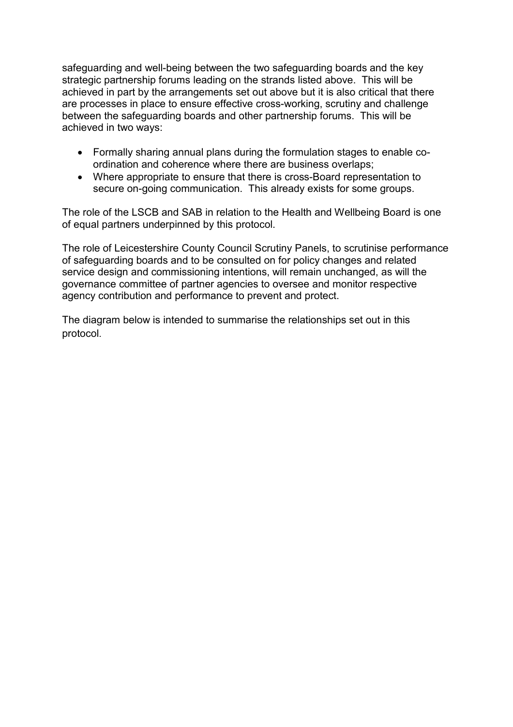safeguarding and well-being between the two safeguarding boards and the key strategic partnership forums leading on the strands listed above. This will be achieved in part by the arrangements set out above but it is also critical that there are processes in place to ensure effective cross-working, scrutiny and challenge between the safeguarding boards and other partnership forums. This will be achieved in two ways:

- Formally sharing annual plans during the formulation stages to enable coordination and coherence where there are business overlaps;
- Where appropriate to ensure that there is cross-Board representation to secure on-going communication. This already exists for some groups.

The role of the LSCB and SAB in relation to the Health and Wellbeing Board is one of equal partners underpinned by this protocol.

The role of Leicestershire County Council Scrutiny Panels, to scrutinise performance of safeguarding boards and to be consulted on for policy changes and related service design and commissioning intentions, will remain unchanged, as will the governance committee of partner agencies to oversee and monitor respective agency contribution and performance to prevent and protect.

The diagram below is intended to summarise the relationships set out in this protocol.